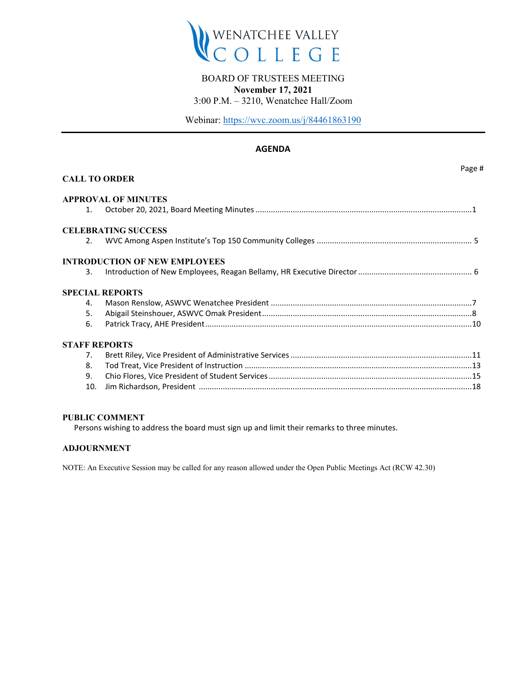

# BOARD OF TRUSTEES MEETING

**November 17, 2021**

3:00 P.M. – 3210, Wenatchee Hall/Zoom

Webinar:<https://wvc.zoom.us/j/84461863190>

## **AGENDA**

|                       | <b>CALL TO ORDER</b>                 | Page # |
|-----------------------|--------------------------------------|--------|
|                       | <b>APPROVAL OF MINUTES</b>           |        |
| 1.                    |                                      |        |
|                       | <b>CELEBRATING SUCCESS</b>           |        |
| $\mathcal{P}_{\cdot}$ |                                      |        |
|                       | <b>INTRODUCTION OF NEW EMPLOYEES</b> |        |
| 3.                    |                                      |        |
|                       | <b>SPECIAL REPORTS</b>               |        |
| 4.                    |                                      |        |
| 5.                    |                                      |        |
| 6.                    |                                      |        |
| <b>STAFF REPORTS</b>  |                                      |        |
| 7 <sub>1</sub>        |                                      |        |
| 8.                    |                                      |        |
| 9.                    |                                      |        |
| 10.                   |                                      |        |
|                       |                                      |        |

#### **PUBLIC COMMENT**

Persons wishing to address the board must sign up and limit their remarks to three minutes.

## **ADJOURNMENT**

NOTE: An Executive Session may be called for any reason allowed under the Open Public Meetings Act (RCW 42.30)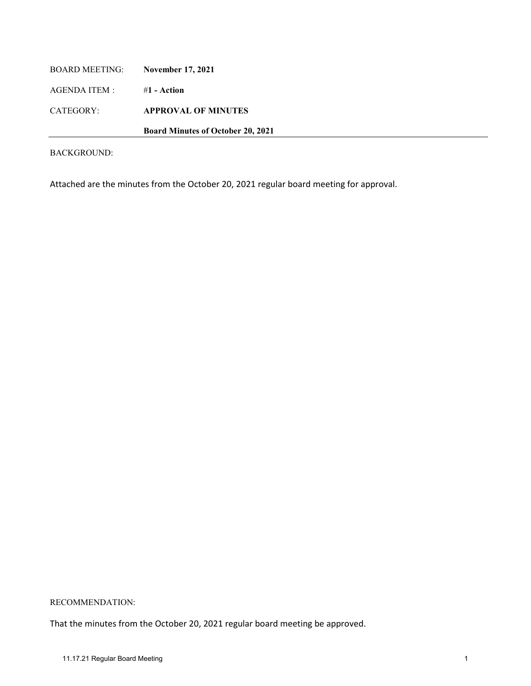| BOARD MEETING: | <b>November 17, 2021</b>                 |
|----------------|------------------------------------------|
| AGENDA ITEM :  | #1 - Action                              |
| CATEGORY:      | <b>APPROVAL OF MINUTES</b>               |
|                | <b>Board Minutes of October 20, 2021</b> |

Attached are the minutes from the October 20, 2021 regular board meeting for approval.

## RECOMMENDATION:

That the minutes from the October 20, 2021 regular board meeting be approved.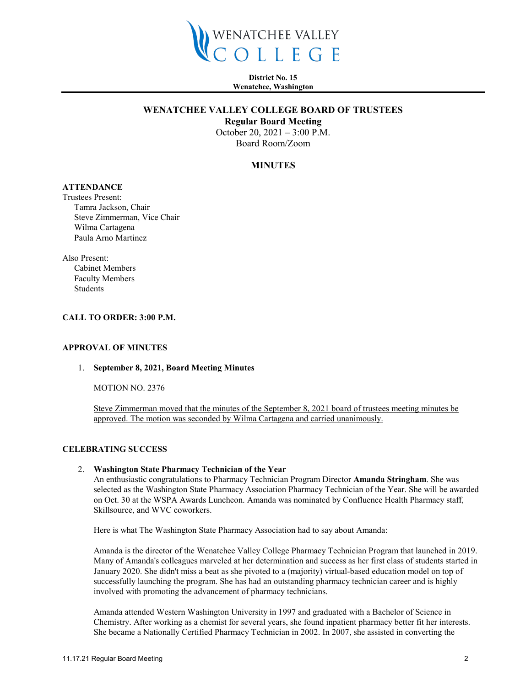

**District No. 15 Wenatchee, Washington**

#### **WENATCHEE VALLEY COLLEGE BOARD OF TRUSTEES**

**Regular Board Meeting**

October 20, 2021 – 3:00 P.M. Board Room/Zoom

#### **MINUTES**

# **ATTENDANCE**

Trustees Present: Tamra Jackson, Chair Steve Zimmerman, Vice Chair Wilma Cartagena Paula Arno Martinez

Also Present: Cabinet Members Faculty Members Students

#### **CALL TO ORDER: 3:00 P.M.**

#### **APPROVAL OF MINUTES**

#### 1. **September 8, 2021, Board Meeting Minutes**

MOTION NO. 2376

Steve Zimmerman moved that the minutes of the September 8, 2021 board of trustees meeting minutes be approved. The motion was seconded by Wilma Cartagena and carried unanimously.

#### **CELEBRATING SUCCESS**

#### 2. **Washington State Pharmacy Technician of the Year**

An enthusiastic congratulations to Pharmacy Technician Program Director **Amanda Stringham**. She was selected as the Washington State Pharmacy Association Pharmacy Technician of the Year. She will be awarded on Oct. 30 at the WSPA Awards Luncheon. Amanda was nominated by Confluence Health Pharmacy staff, Skillsource, and WVC coworkers.

Here is what The Washington State Pharmacy Association had to say about Amanda:

Amanda is the director of the Wenatchee Valley College Pharmacy Technician Program that launched in 2019. Many of Amanda's colleagues marveled at her determination and success as her first class of students started in January 2020. She didn't miss a beat as she pivoted to a (majority) virtual-based education model on top of successfully launching the program. She has had an outstanding pharmacy technician career and is highly involved with promoting the advancement of pharmacy technicians.

Amanda attended Western Washington University in 1997 and graduated with a Bachelor of Science in Chemistry. After working as a chemist for several years, she found inpatient pharmacy better fit her interests. She became a Nationally Certified Pharmacy Technician in 2002. In 2007, she assisted in converting the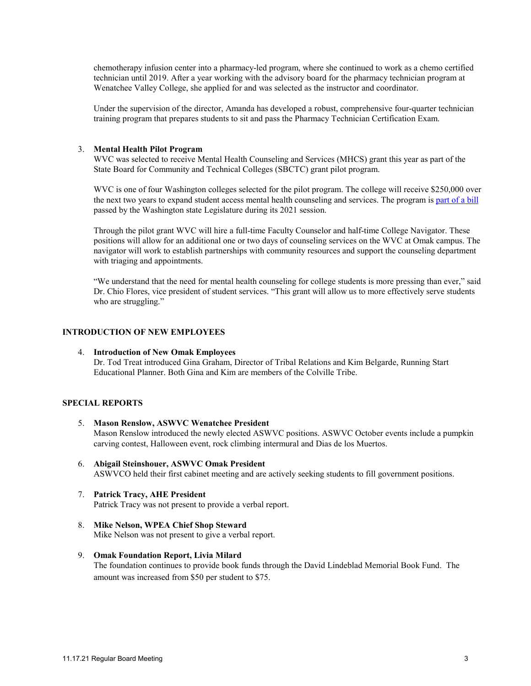chemotherapy infusion center into a pharmacy-led program, where she continued to work as a chemo certified technician until 2019. After a year working with the advisory board for the pharmacy technician program at Wenatchee Valley College, she applied for and was selected as the instructor and coordinator.

Under the supervision of the director, Amanda has developed a robust, comprehensive four-quarter technician training program that prepares students to sit and pass the Pharmacy Technician Certification Exam.

#### 3. **Mental Health Pilot Program**

WVC was selected to receive Mental Health Counseling and Services (MHCS) grant this year as part of the State Board for Community and Technical Colleges (SBCTC) grant pilot program.

WVC is one of four Washington colleges selected for the pilot program. The college will receive \$250,000 over the next two years to expand student access mental health counseling and services. The program is [part of a bill](https://nam10.safelinks.protection.outlook.com/?url=https%3A%2F%2Furldefense.com%2Fv3%2F__https%3A%2F%2Fsbctc.us8.list-manage.com%2Ftrack%2Fclick%3Fu%3Ddeef59f1d8ee1e991514ca276%26id%3D0a7e74f34a%26e%3Deac0b86a7d__%3B!!CVJAgw2XxpAa!xQ5qxPWmoNS62qi2wIbYtXfwQ7cXLMjM4Z5vPUDVGBGTuVy90nadkJDiSB5ll_A%24&data=04%7C01%7Chthorpe%40wvc.edu%7C9efc28f6ab904f644dcf08d984faf5b4%7Cfe590da28322492da44c32a1d698a506%7C0%7C0%7C637687035701512335%7CUnknown%7CTWFpbGZsb3d8eyJWIjoiMC4wLjAwMDAiLCJQIjoiV2luMzIiLCJBTiI6Ik1haWwiLCJXVCI6Mn0%3D%7C1000&sdata=O3olDlZ5TYXpdneOU%2BImkaTl4rp79MLauItw%2BNkqeC8%3D&reserved=0) passed by the Washington state Legislature during its 2021 session.

Through the pilot grant WVC will hire a full-time Faculty Counselor and half-time College Navigator. These positions will allow for an additional one or two days of counseling services on the WVC at Omak campus. The navigator will work to establish partnerships with community resources and support the counseling department with triaging and appointments.

"We understand that the need for mental health counseling for college students is more pressing than ever," said Dr. Chio Flores, vice president of student services. "This grant will allow us to more effectively serve students who are struggling."

#### **INTRODUCTION OF NEW EMPLOYEES**

4. **Introduction of New Omak Employees** Dr. Tod Treat introduced Gina Graham, Director of Tribal Relations and Kim Belgarde, Running Start Educational Planner. Both Gina and Kim are members of the Colville Tribe.

### **SPECIAL REPORTS**

- 5. **Mason Renslow, ASWVC Wenatchee President** Mason Renslow introduced the newly elected ASWVC positions. ASWVC October events include a pumpkin carving contest, Halloween event, rock climbing intermural and Dias de los Muertos.
- 6. **Abigail Steinshouer, ASWVC Omak President** ASWVCO held their first cabinet meeting and are actively seeking students to fill government positions.
- 7. **Patrick Tracy, AHE President** Patrick Tracy was not present to provide a verbal report.
- 8. **Mike Nelson, WPEA Chief Shop Steward** Mike Nelson was not present to give a verbal report.
- 9. **Omak Foundation Report, Livia Milard** The foundation continues to provide book funds through the David Lindeblad Memorial Book Fund. The amount was increased from \$50 per student to \$75.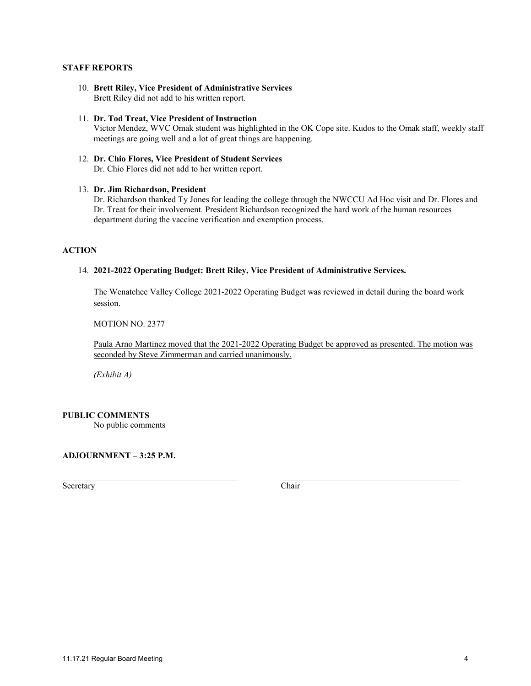#### **STAFF REPORTS**

- 10. **Brett Riley, Vice President of Administrative Services** Brett Riley did not add to his written report.
- 11. **Dr. Tod Treat, Vice President of Instruction**  Victor Mendez, WVC Omak student was highlighted in the OK Cope site. Kudos to the Omak staff, weekly staff meetings are going well and a lot of great things are happening.
- 12. **Dr. Chio Flores, Vice President of Student Services** Dr. Chio Flores did not add to her written report.

#### 13. **Dr. Jim Richardson, President**

Dr. Richardson thanked Ty Jones for leading the college through the NWCCU Ad Hoc visit and Dr. Flores and Dr. Treat for their involvement. President Richardson recognized the hard work of the human resources department during the vaccine verification and exemption process.

#### **ACTION**

#### 14. **2021-2022 Operating Budget: Brett Riley, Vice President of Administrative Services.**

The Wenatchee Valley College 2021-2022 Operating Budget was reviewed in detail during the board work session.

MOTION NO. 2377

Paula Arno Martinez moved that the 2021-2022 Operating Budget be approved as presented. The motion was seconded by Steve Zimmerman and carried unanimously.

*(Exhibit A)* 

#### **PUBLIC COMMENTS**

No public comments

## **ADJOURNMENT – 3:25 P.M.**

Secretary Chair

\_\_\_\_\_\_\_\_\_\_\_\_\_\_\_\_\_\_\_\_\_\_\_\_\_\_\_\_\_\_\_\_\_\_\_\_\_\_\_\_ \_\_\_\_\_\_\_\_\_\_\_\_\_\_\_\_\_\_\_\_\_\_\_\_\_\_\_\_\_\_\_\_\_\_\_\_\_\_\_\_\_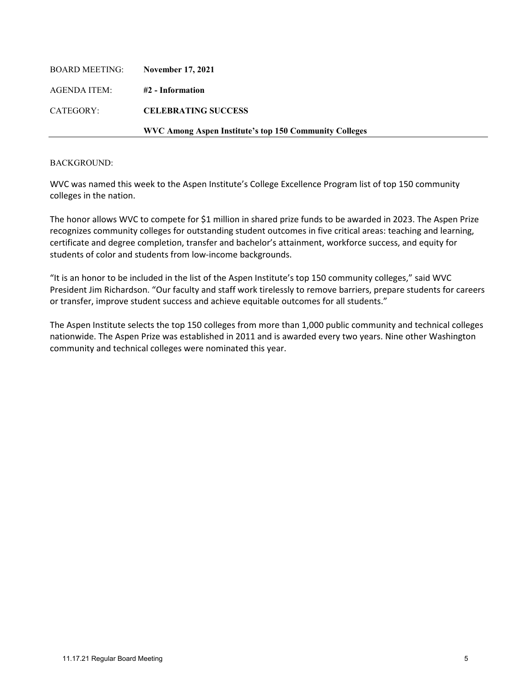| AGENDA ITEM: | #2 - Information                                              |
|--------------|---------------------------------------------------------------|
| CATEGORY:    | <b>CELEBRATING SUCCESS</b>                                    |
|              | <b>WVC Among Aspen Institute's top 150 Community Colleges</b> |

WVC was named this week to the Aspen Institute's College Excellence Program list of top 150 community colleges in the nation.

The honor allows WVC to compete for \$1 million in shared prize funds to be awarded in 2023. The Aspen Prize recognizes community colleges for outstanding student outcomes in five critical areas: teaching and learning, certificate and degree completion, transfer and bachelor's attainment, workforce success, and equity for students of color and students from low-income backgrounds.

"It is an honor to be included in the list of the Aspen Institute's top 150 community colleges," said WVC President Jim Richardson. "Our faculty and staff work tirelessly to remove barriers, prepare students for careers or transfer, improve student success and achieve equitable outcomes for all students."

The Aspen Institute selects the top 150 colleges from more than 1,000 public community and technical colleges nationwide. The Aspen Prize was established in 2011 and is awarded every two years. Nine other Washington community and technical colleges were nominated this year.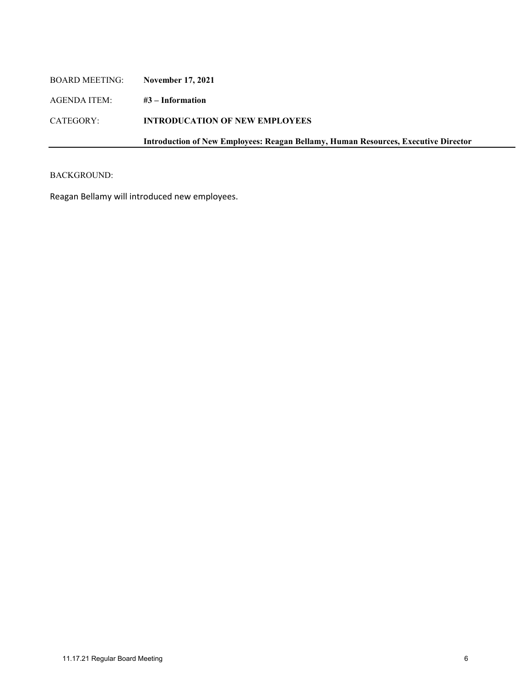| <b>BOARD MEETING:</b> | <b>November 17, 2021</b>                                                           |
|-----------------------|------------------------------------------------------------------------------------|
| AGENDA ITEM:          | $#3$ – Information                                                                 |
| CATEGORY:             | <b>INTRODUCATION OF NEW EMPLOYEES</b>                                              |
|                       | Introduction of New Employees: Reagan Bellamy, Human Resources, Executive Director |
|                       |                                                                                    |

Reagan Bellamy will introduced new employees.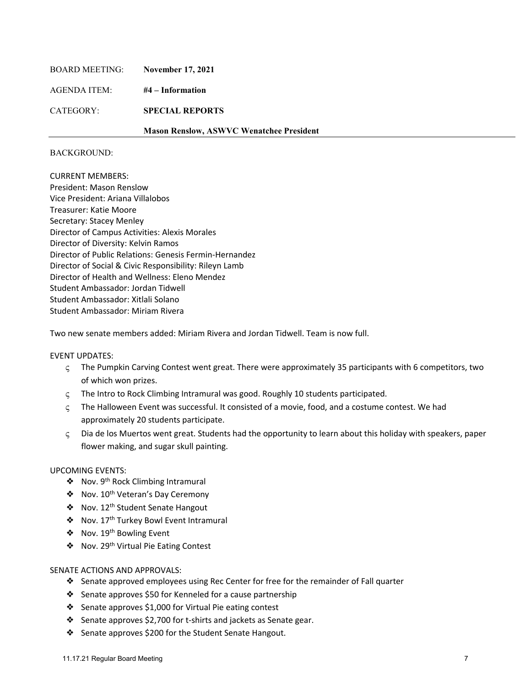| BOARD MEETING: | <b>November 17, 2021</b>                        |
|----------------|-------------------------------------------------|
| AGENDA ITEM:   | #4 – Information                                |
| CATEGORY:      | <b>SPECIAL REPORTS</b>                          |
|                | <b>Mason Renslow, ASWVC Wenatchee President</b> |

CURRENT MEMBERS: President: Mason Renslow Vice President: Ariana Villalobos Treasurer: Katie Moore Secretary: Stacey Menley Director of Campus Activities: Alexis Morales Director of Diversity: Kelvin Ramos Director of Public Relations: Genesis Fermin-Hernandez Director of Social & Civic Responsibility: Rileyn Lamb Director of Health and Wellness: Eleno Mendez Student Ambassador: Jordan Tidwell Student Ambassador: Xitlali Solano Student Ambassador: Miriam Rivera

Two new senate members added: Miriam Rivera and Jordan Tidwell. Team is now full.

#### EVENT UPDATES:

- ς The Pumpkin Carving Contest went great. There were approximately 35 participants with 6 competitors, two of which won prizes.
- ς The Intro to Rock Climbing Intramural was good. Roughly 10 students participated.
- ς The Halloween Event was successful. It consisted of a movie, food, and a costume contest. We had approximately 20 students participate.
- ς Dia de los Muertos went great. Students had the opportunity to learn about this holiday with speakers, paper flower making, and sugar skull painting.

#### UPCOMING EVENTS:

- ❖ Nov. 9th Rock Climbing Intramural
- ❖ Nov. 10th Veteran's Day Ceremony
- ❖ Nov. 12th Student Senate Hangout
- ❖ Nov. 17th Turkey Bowl Event Intramural
- ❖ Nov. 19th Bowling Event
- ❖ Nov. 29th Virtual Pie Eating Contest

#### SENATE ACTIONS AND APPROVALS:

- ❖ Senate approved employees using Rec Center for free for the remainder of Fall quarter
- ❖ Senate approves \$50 for Kenneled for a cause partnership
- ❖ Senate approves \$1,000 for Virtual Pie eating contest
- ❖ Senate approves \$2,700 for t-shirts and jackets as Senate gear.
- ❖ Senate approves \$200 for the Student Senate Hangout.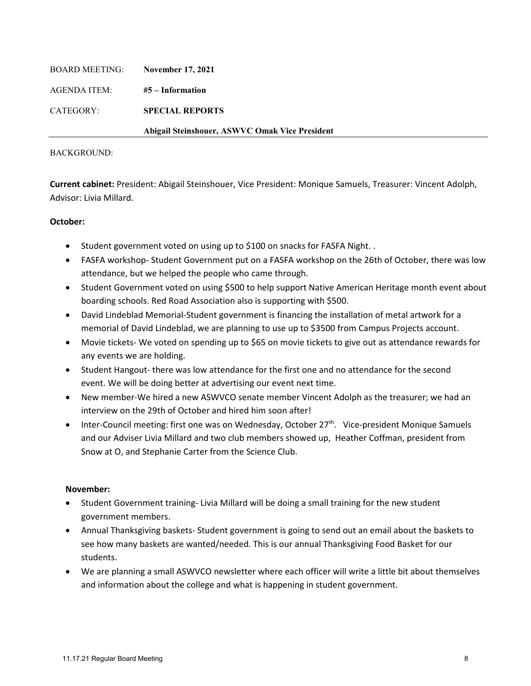| BOARD MEETING: | <b>November 17, 2021</b>                       |
|----------------|------------------------------------------------|
| AGENDA ITEM:   | $#5$ – Information                             |
| CATEGORY:      | <b>SPECIAL REPORTS</b>                         |
|                | Abigail Steinshouer, ASWVC Omak Vice President |

**Current cabinet:** President: Abigail Steinshouer, Vice President: Monique Samuels, Treasurer: Vincent Adolph, Advisor: Livia Millard.

## **October:**

- Student government voted on using up to \$100 on snacks for FASFA Night. .
- FASFA workshop- Student Government put on a FASFA workshop on the 26th of October, there was low attendance, but we helped the people who came through.
- Student Government voted on using \$500 to help support Native American Heritage month event about boarding schools. Red Road Association also is supporting with \$500.
- David Lindeblad Memorial-Student government is financing the installation of metal artwork for a memorial of David Lindeblad, we are planning to use up to \$3500 from Campus Projects account.
- Movie tickets- We voted on spending up to \$65 on movie tickets to give out as attendance rewards for any events we are holding.
- Student Hangout- there was low attendance for the first one and no attendance for the second event. We will be doing better at advertising our event next time.
- New member-We hired a new ASWVCO senate member Vincent Adolph as the treasurer; we had an interview on the 29th of October and hired him soon after!
- Inter-Council meeting: first one was on Wednesday, October 27<sup>th</sup>. Vice-president Monique Samuels and our Adviser Livia Millard and two club members showed up, Heather Coffman, president from Snow at O, and Stephanie Carter from the Science Club.

# **November:**

- Student Government training- Livia Millard will be doing a small training for the new student government members.
- Annual Thanksgiving baskets- Student government is going to send out an email about the baskets to see how many baskets are wanted/needed. This is our annual Thanksgiving Food Basket for our students.
- We are planning a small ASWVCO newsletter where each officer will write a little bit about themselves and information about the college and what is happening in student government.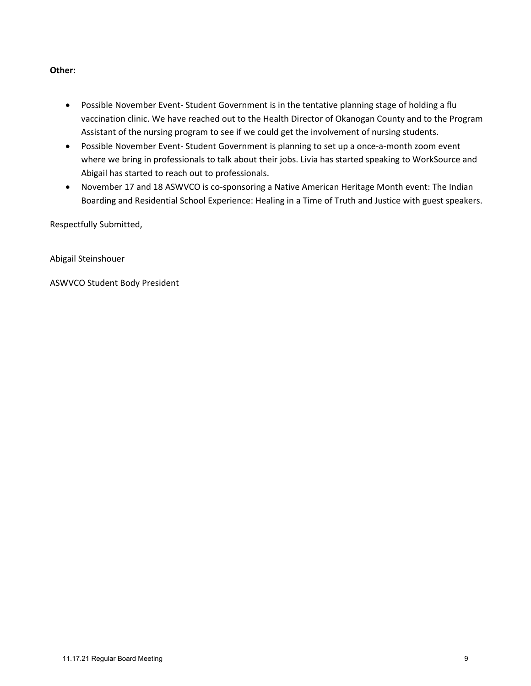# **Other:**

- Possible November Event- Student Government is in the tentative planning stage of holding a flu vaccination clinic. We have reached out to the Health Director of Okanogan County and to the Program Assistant of the nursing program to see if we could get the involvement of nursing students.
- Possible November Event- Student Government is planning to set up a once-a-month zoom event where we bring in professionals to talk about their jobs. Livia has started speaking to WorkSource and Abigail has started to reach out to professionals.
- November 17 and 18 ASWVCO is co-sponsoring a Native American Heritage Month event: The Indian Boarding and Residential School Experience: Healing in a Time of Truth and Justice with guest speakers.

Respectfully Submitted,

Abigail Steinshouer

ASWVCO Student Body President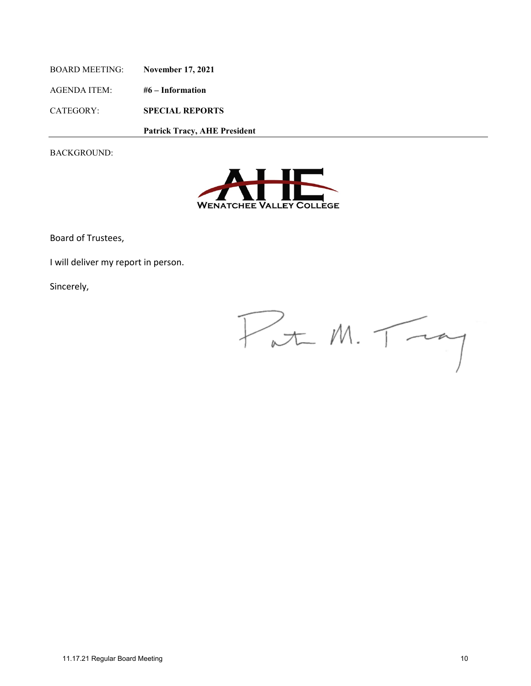BOARD MEETING: **November 17, 2021** AGENDA ITEM: **#6 – Information** CATEGORY: **SPECIAL REPORTS**

 **Patrick Tracy, AHE President**

BACKGROUND:



Board of Trustees,

I will deliver my report in person.

Sincerely,

 $P_{at}$  M.  $T_{ta}$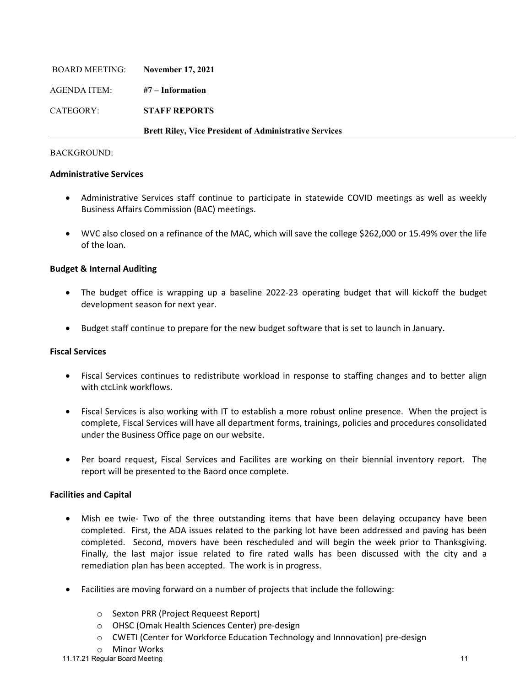| BOARD MEETING: | <b>November 17, 2021</b>                                      |
|----------------|---------------------------------------------------------------|
| AGENDA ITEM:   | #7 – Information                                              |
| CATEGORY:      | <b>STAFF REPORTS</b>                                          |
|                | <b>Brett Riley, Vice President of Administrative Services</b> |

## **Administrative Services**

- Administrative Services staff continue to participate in statewide COVID meetings as well as weekly Business Affairs Commission (BAC) meetings.
- WVC also closed on a refinance of the MAC, which will save the college \$262,000 or 15.49% over the life of the loan.

# **Budget & Internal Auditing**

- The budget office is wrapping up a baseline 2022-23 operating budget that will kickoff the budget development season for next year.
- Budget staff continue to prepare for the new budget software that is set to launch in January.

# **Fiscal Services**

- Fiscal Services continues to redistribute workload in response to staffing changes and to better align with ctcLink workflows.
- Fiscal Services is also working with IT to establish a more robust online presence. When the project is complete, Fiscal Services will have all department forms, trainings, policies and procedures consolidated under the Business Office page on our website.
- Per board request, Fiscal Services and Facilites are working on their biennial inventory report. The report will be presented to the Baord once complete.

# **Facilities and Capital**

- Mish ee twie- Two of the three outstanding items that have been delaying occupancy have been completed. First, the ADA issues related to the parking lot have been addressed and paving has been completed. Second, movers have been rescheduled and will begin the week prior to Thanksgiving. Finally, the last major issue related to fire rated walls has been discussed with the city and a remediation plan has been accepted. The work is in progress.
- Facilities are moving forward on a number of projects that include the following:
	- o Sexton PRR (Project Requeest Report)
	- o OHSC (Omak Health Sciences Center) pre-design
	- $\circ$  CWETI (Center for Workforce Education Technology and Innnovation) pre-design
	- o Minor Works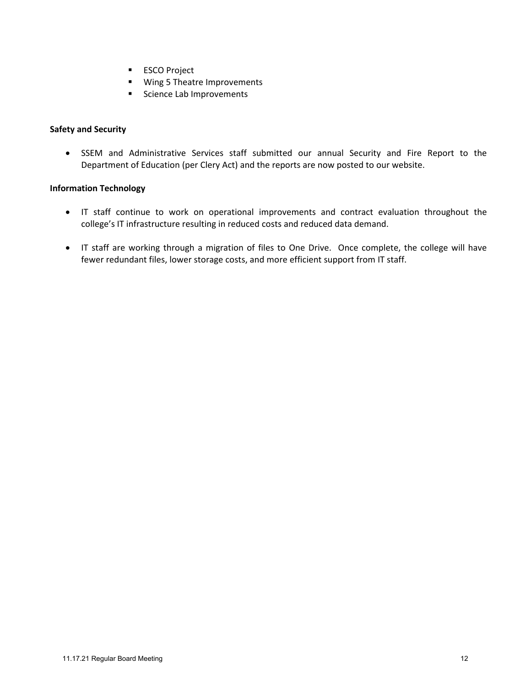- **ESCO Project**
- **Wing 5 Theatre Improvements**
- **Science Lab Improvements**

# **Safety and Security**

• SSEM and Administrative Services staff submitted our annual Security and Fire Report to the Department of Education (per Clery Act) and the reports are now posted to our website.

# **Information Technology**

- IT staff continue to work on operational improvements and contract evaluation throughout the college's IT infrastructure resulting in reduced costs and reduced data demand.
- IT staff are working through a migration of files to One Drive. Once complete, the college will have fewer redundant files, lower storage costs, and more efficient support from IT staff.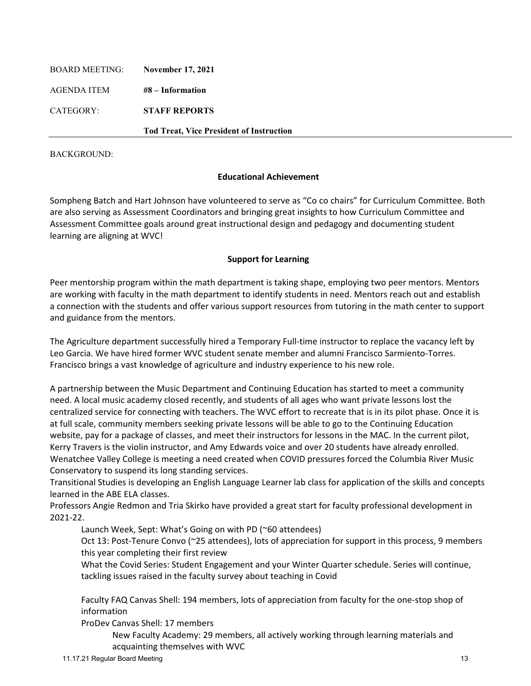| <b>BOARD MEETING:</b> | <b>November 17, 2021</b>                        |
|-----------------------|-------------------------------------------------|
| AGENDA ITEM           | $#8$ – Information                              |
| CATEGORY:             | <b>STAFF REPORTS</b>                            |
|                       | <b>Tod Treat, Vice President of Instruction</b> |

# **Educational Achievement**

Sompheng Batch and Hart Johnson have volunteered to serve as "Co co chairs" for Curriculum Committee. Both are also serving as Assessment Coordinators and bringing great insights to how Curriculum Committee and Assessment Committee goals around great instructional design and pedagogy and documenting student learning are aligning at WVC!

# **Support for Learning**

Peer mentorship program within the math department is taking shape, employing two peer mentors. Mentors are working with faculty in the math department to identify students in need. Mentors reach out and establish a connection with the students and offer various support resources from tutoring in the math center to support and guidance from the mentors.

The Agriculture department successfully hired a Temporary Full-time instructor to replace the vacancy left by Leo Garcia. We have hired former WVC student senate member and alumni Francisco Sarmiento-Torres. Francisco brings a vast knowledge of agriculture and industry experience to his new role.

A partnership between the Music Department and Continuing Education has started to meet a community need. A local music academy closed recently, and students of all ages who want private lessons lost the centralized service for connecting with teachers. The WVC effort to recreate that is in its pilot phase. Once it is at full scale, community members seeking private lessons will be able to go to the Continuing Education website, pay for a package of classes, and meet their instructors for lessons in the MAC. In the current pilot, Kerry Travers is the violin instructor, and Amy Edwards voice and over 20 students have already enrolled. Wenatchee Valley College is meeting a need created when COVID pressures forced the Columbia River Music Conservatory to suspend its long standing services.

Transitional Studies is developing an English Language Learner lab class for application of the skills and concepts learned in the ABE ELA classes.

Professors Angie Redmon and Tria Skirko have provided a great start for faculty professional development in 2021-22.

Launch Week, Sept: What's Going on with PD (~60 attendees)

Oct 13: Post-Tenure Convo (~25 attendees), lots of appreciation for support in this process, 9 members this year completing their first review

What the Covid Series: Student Engagement and your Winter Quarter schedule. Series will continue, tackling issues raised in the faculty survey about teaching in Covid

Faculty FAQ Canvas Shell: 194 members, lots of appreciation from faculty for the one-stop shop of information

ProDev Canvas Shell: 17 members

New Faculty Academy: 29 members, all actively working through learning materials and acquainting themselves with WVC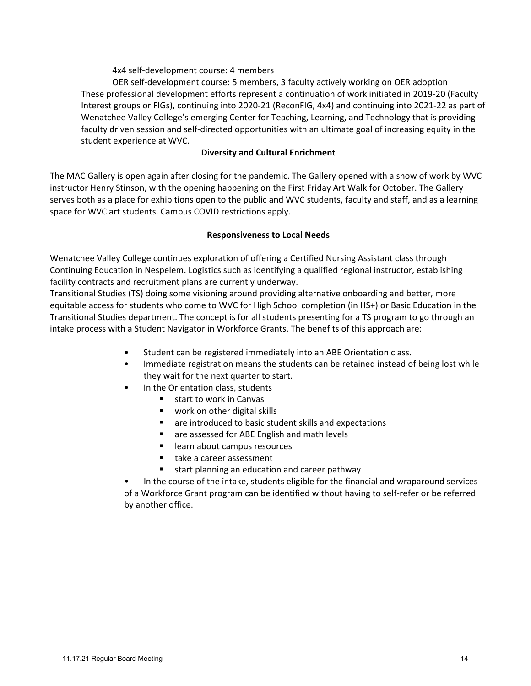4x4 self-development course: 4 members

OER self-development course: 5 members, 3 faculty actively working on OER adoption These professional development efforts represent a continuation of work initiated in 2019-20 (Faculty Interest groups or FIGs), continuing into 2020-21 (ReconFIG, 4x4) and continuing into 2021-22 as part of Wenatchee Valley College's emerging Center for Teaching, Learning, and Technology that is providing faculty driven session and self-directed opportunities with an ultimate goal of increasing equity in the student experience at WVC.

# **Diversity and Cultural Enrichment**

The MAC Gallery is open again after closing for the pandemic. The Gallery opened with a show of work by WVC instructor Henry Stinson, with the opening happening on the First Friday Art Walk for October. The Gallery serves both as a place for exhibitions open to the public and WVC students, faculty and staff, and as a learning space for WVC art students. Campus COVID restrictions apply.

# **Responsiveness to Local Needs**

Wenatchee Valley College continues exploration of offering a Certified Nursing Assistant class through Continuing Education in Nespelem. Logistics such as identifying a qualified regional instructor, establishing facility contracts and recruitment plans are currently underway.

Transitional Studies (TS) doing some visioning around providing alternative onboarding and better, more equitable access for students who come to WVC for High School completion (in HS+) or Basic Education in the Transitional Studies department. The concept is for all students presenting for a TS program to go through an intake process with a Student Navigator in Workforce Grants. The benefits of this approach are:

- Student can be registered immediately into an ABE Orientation class.
- Immediate registration means the students can be retained instead of being lost while they wait for the next quarter to start.
- In the Orientation class, students
	- **start to work in Canvas**
	- **work on other digital skills**
	- are introduced to basic student skills and expectations
	- are assessed for ABE English and math levels
	- **EXEC** learn about campus resources
	- take a career assessment
	- start planning an education and career pathway

• In the course of the intake, students eligible for the financial and wraparound services of a Workforce Grant program can be identified without having to self-refer or be referred by another office.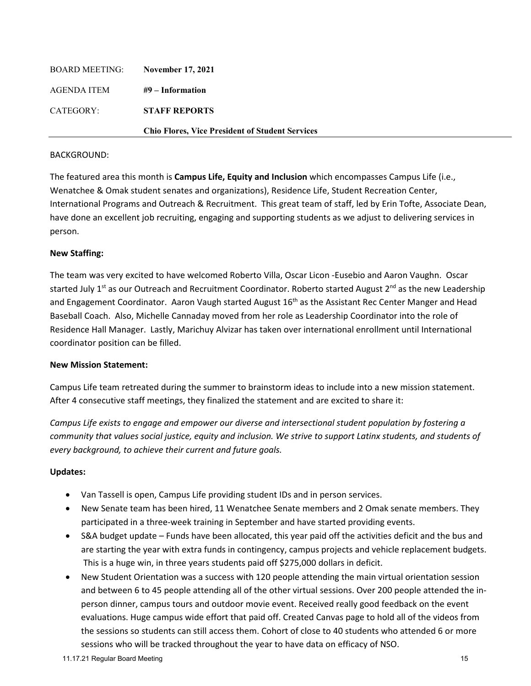| AGENDA ITEM | #9 – Information                                       |
|-------------|--------------------------------------------------------|
| CATEGORY:   | <b>STAFF REPORTS</b>                                   |
|             | <b>Chio Flores, Vice President of Student Services</b> |

The featured area this month is **Campus Life, Equity and Inclusion** which encompasses Campus Life (i.e., Wenatchee & Omak student senates and organizations), Residence Life, Student Recreation Center, International Programs and Outreach & Recruitment. This great team of staff, led by Erin Tofte, Associate Dean, have done an excellent job recruiting, engaging and supporting students as we adjust to delivering services in person.

# **New Staffing:**

The team was very excited to have welcomed Roberto Villa, Oscar Licon -Eusebio and Aaron Vaughn. Oscar started July 1<sup>st</sup> as our Outreach and Recruitment Coordinator. Roberto started August 2<sup>nd</sup> as the new Leadership and Engagement Coordinator. Aaron Vaugh started August 16<sup>th</sup> as the Assistant Rec Center Manger and Head Baseball Coach. Also, Michelle Cannaday moved from her role as Leadership Coordinator into the role of Residence Hall Manager. Lastly, Marichuy Alvizar has taken over international enrollment until International coordinator position can be filled.

#### **New Mission Statement:**

Campus Life team retreated during the summer to brainstorm ideas to include into a new mission statement. After 4 consecutive staff meetings, they finalized the statement and are excited to share it:

*Campus Life exists to engage and empower our diverse and intersectional student population by fostering a community that values social justice, equity and inclusion. We strive to support Latinx students, and students of every background, to achieve their current and future goals.* 

# **Updates:**

- Van Tassell is open, Campus Life providing student IDs and in person services.
- New Senate team has been hired, 11 Wenatchee Senate members and 2 Omak senate members. They participated in a three-week training in September and have started providing events.
- S&A budget update Funds have been allocated, this year paid off the activities deficit and the bus and are starting the year with extra funds in contingency, campus projects and vehicle replacement budgets. This is a huge win, in three years students paid off \$275,000 dollars in deficit.
- New Student Orientation was a success with 120 people attending the main virtual orientation session and between 6 to 45 people attending all of the other virtual sessions. Over 200 people attended the inperson dinner, campus tours and outdoor movie event. Received really good feedback on the event evaluations. Huge campus wide effort that paid off. Created Canvas page to hold all of the videos from the sessions so students can still access them. Cohort of close to 40 students who attended 6 or more sessions who will be tracked throughout the year to have data on efficacy of NSO.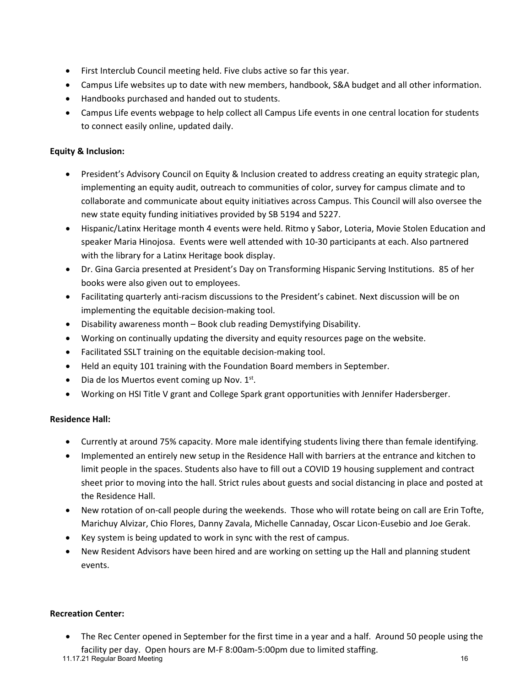- First Interclub Council meeting held. Five clubs active so far this year.
- Campus Life websites up to date with new members, handbook, S&A budget and all other information.
- Handbooks purchased and handed out to students.
- Campus Life events webpage to help collect all Campus Life events in one central location for students to connect easily online, updated daily.

# **Equity & Inclusion:**

- President's Advisory Council on Equity & Inclusion created to address creating an equity strategic plan, implementing an equity audit, outreach to communities of color, survey for campus climate and to collaborate and communicate about equity initiatives across Campus. This Council will also oversee the new state equity funding initiatives provided by SB 5194 and 5227.
- Hispanic/Latinx Heritage month 4 events were held. Ritmo y Sabor, Loteria, Movie Stolen Education and speaker Maria Hinojosa. Events were well attended with 10-30 participants at each. Also partnered with the library for a Latinx Heritage book display.
- Dr. Gina Garcia presented at President's Day on Transforming Hispanic Serving Institutions. 85 of her books were also given out to employees.
- Facilitating quarterly anti-racism discussions to the President's cabinet. Next discussion will be on implementing the equitable decision-making tool.
- Disability awareness month Book club reading Demystifying Disability.
- Working on continually updating the diversity and equity resources page on the website.
- Facilitated SSLT training on the equitable decision-making tool.
- Held an equity 101 training with the Foundation Board members in September.
- Dia de los Muertos event coming up Nov.  $1<sup>st</sup>$ .
- Working on HSI Title V grant and College Spark grant opportunities with Jennifer Hadersberger.

# **Residence Hall:**

- Currently at around 75% capacity. More male identifying students living there than female identifying.
- Implemented an entirely new setup in the Residence Hall with barriers at the entrance and kitchen to limit people in the spaces. Students also have to fill out a COVID 19 housing supplement and contract sheet prior to moving into the hall. Strict rules about guests and social distancing in place and posted at the Residence Hall.
- New rotation of on-call people during the weekends. Those who will rotate being on call are Erin Tofte, Marichuy Alvizar, Chio Flores, Danny Zavala, Michelle Cannaday, Oscar Licon-Eusebio and Joe Gerak.
- Key system is being updated to work in sync with the rest of campus.
- New Resident Advisors have been hired and are working on setting up the Hall and planning student events.

#### **Recreation Center:**

• The Rec Center opened in September for the first time in a year and a half. Around 50 people using the facility per day. Open hours are M-F 8:00am-5:00pm due to limited staffing.

11.17.21 Regular Board Meeting 16 November 2016 16 November 2016 16 November 2016 16 November 2016 16 November 2016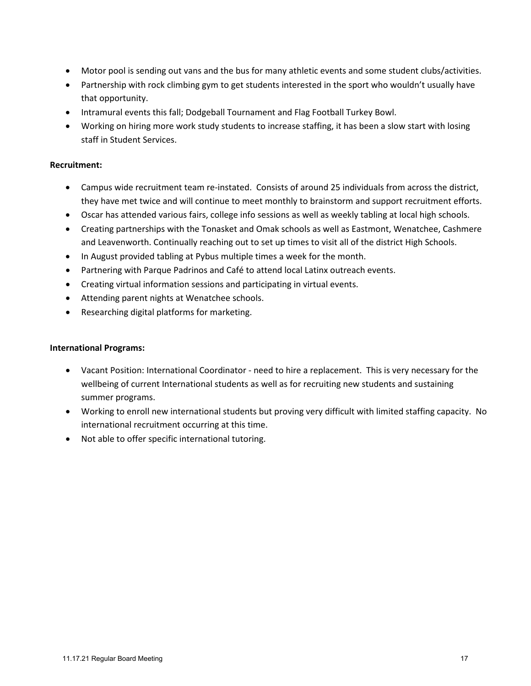- Motor pool is sending out vans and the bus for many athletic events and some student clubs/activities.
- Partnership with rock climbing gym to get students interested in the sport who wouldn't usually have that opportunity.
- Intramural events this fall; Dodgeball Tournament and Flag Football Turkey Bowl.
- Working on hiring more work study students to increase staffing, it has been a slow start with losing staff in Student Services.

## **Recruitment:**

- Campus wide recruitment team re-instated. Consists of around 25 individuals from across the district, they have met twice and will continue to meet monthly to brainstorm and support recruitment efforts.
- Oscar has attended various fairs, college info sessions as well as weekly tabling at local high schools.
- Creating partnerships with the Tonasket and Omak schools as well as Eastmont, Wenatchee, Cashmere and Leavenworth. Continually reaching out to set up times to visit all of the district High Schools.
- In August provided tabling at Pybus multiple times a week for the month.
- Partnering with Parque Padrinos and Café to attend local Latinx outreach events.
- Creating virtual information sessions and participating in virtual events.
- Attending parent nights at Wenatchee schools.
- Researching digital platforms for marketing.

## **International Programs:**

- Vacant Position: International Coordinator need to hire a replacement. This is very necessary for the wellbeing of current International students as well as for recruiting new students and sustaining summer programs.
- Working to enroll new international students but proving very difficult with limited staffing capacity. No international recruitment occurring at this time.
- Not able to offer specific international tutoring.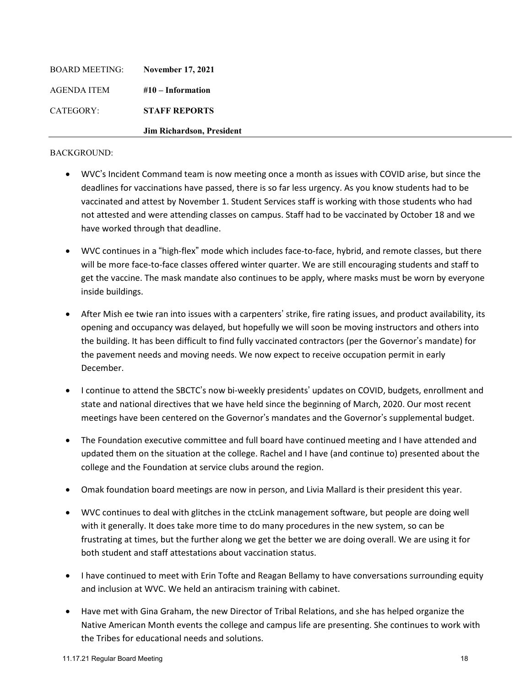| <b>BOARD MEETING:</b> | <b>November 17, 2021</b>  |
|-----------------------|---------------------------|
| AGENDA ITEM           | $#10$ – Information       |
| CATEGORY:             | <b>STAFF REPORTS</b>      |
|                       | Jim Richardson, President |

- WVC's Incident Command team is now meeting once a month as issues with COVID arise, but since the deadlines for vaccinations have passed, there is so far less urgency. As you know students had to be vaccinated and attest by November 1. Student Services staff is working with those students who had not attested and were attending classes on campus. Staff had to be vaccinated by October 18 and we have worked through that deadline.
- WVC continues in a "high-flex" mode which includes face-to-face, hybrid, and remote classes, but there will be more face-to-face classes offered winter quarter. We are still encouraging students and staff to get the vaccine. The mask mandate also continues to be apply, where masks must be worn by everyone inside buildings.
- After Mish ee twie ran into issues with a carpenters' strike, fire rating issues, and product availability, its opening and occupancy was delayed, but hopefully we will soon be moving instructors and others into the building. It has been difficult to find fully vaccinated contractors (per the Governor's mandate) for the pavement needs and moving needs. We now expect to receive occupation permit in early December.
- I continue to attend the SBCTC's now bi-weekly presidents' updates on COVID, budgets, enrollment and state and national directives that we have held since the beginning of March, 2020. Our most recent meetings have been centered on the Governor's mandates and the Governor's supplemental budget.
- The Foundation executive committee and full board have continued meeting and I have attended and updated them on the situation at the college. Rachel and I have (and continue to) presented about the college and the Foundation at service clubs around the region.
- Omak foundation board meetings are now in person, and Livia Mallard is their president this year.
- WVC continues to deal with glitches in the ctcLink management software, but people are doing well with it generally. It does take more time to do many procedures in the new system, so can be frustrating at times, but the further along we get the better we are doing overall. We are using it for both student and staff attestations about vaccination status.
- I have continued to meet with Erin Tofte and Reagan Bellamy to have conversations surrounding equity and inclusion at WVC. We held an antiracism training with cabinet.
- Have met with Gina Graham, the new Director of Tribal Relations, and she has helped organize the Native American Month events the college and campus life are presenting. She continues to work with the Tribes for educational needs and solutions.